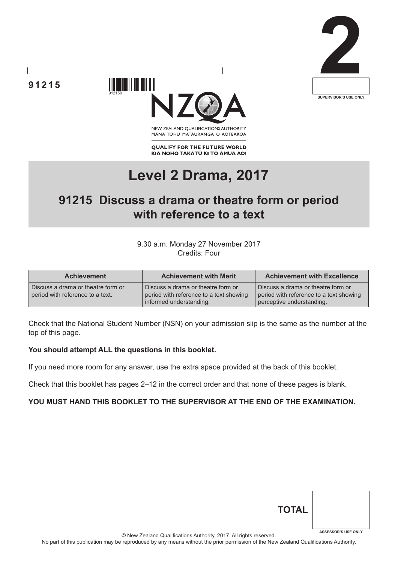





NEW ZEALAND OUALIFICATIONS AUTHORITY MANA TOHU MATAURANGA O AOTEAROA

**QUALIFY FOR THE FUTURE WORLD** KIA NOHO TAKATŪ KI TŌ ĀMUA AO!

# **Level 2 Drama, 2017**

# **91215 Discuss a drama or theatre form or period with reference to a text**

#### 9.30 a.m. Monday 27 November 2017 Credits: Four

| <b>Achievement</b>                                                     | <b>Achievement with Merit</b>                                                                            | <b>Achievement with Excellence</b>                                                                         |
|------------------------------------------------------------------------|----------------------------------------------------------------------------------------------------------|------------------------------------------------------------------------------------------------------------|
| Discuss a drama or theatre form or<br>period with reference to a text. | Discuss a drama or theatre form or<br>period with reference to a text showing<br>informed understanding. | Discuss a drama or theatre form or<br>period with reference to a text showing<br>perceptive understanding. |

Check that the National Student Number (NSN) on your admission slip is the same as the number at the top of this page.

#### **You should attempt ALL the questions in this booklet.**

If you need more room for any answer, use the extra space provided at the back of this booklet.

Check that this booklet has pages 2–12 in the correct order and that none of these pages is blank.

## **YOU MUST HAND THIS BOOKLET TO THE SUPERVISOR AT THE END OF THE EXAMINATION.**

| <b>TOTAL</b> |                            |
|--------------|----------------------------|
|              | <b>ASSESSOR'S USE ONLY</b> |

© New Zealand Qualifications Authority, 2017. All rights reserved.

No part of this publication may be reproduced by any means without the prior permission of the New Zealand Qualifications Authority.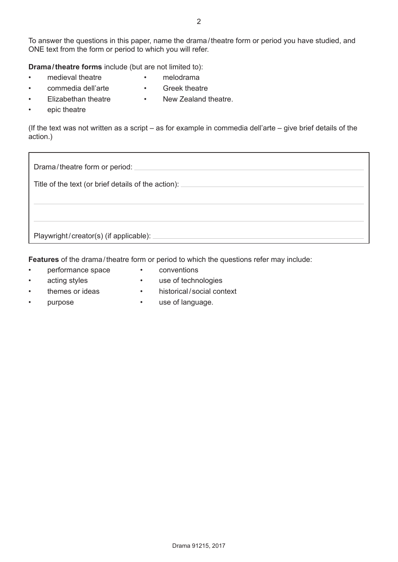To answer the questions in this paper, name the drama / theatre form or period you have studied, and ONE text from the form or period to which you will refer.

**Drama / theatre forms** include (but are not limited to):

- medieval theatre
- melodrama • Greek theatre
- commedia dell'arte • Elizabethan theatre
- New Zealand theatre.
- epic theatre

(If the text was not written as a script – as for example in commedia dell'arte – give brief details of the action.)

| Drama/theatre form or period: _                     |
|-----------------------------------------------------|
| Title of the text (or brief details of the action): |
|                                                     |
|                                                     |
| Playwright/creator(s) (if applicable):              |

**Features** of the drama/theatre form or period to which the questions refer may include:

- performance space
- conventions
- acting styles
- use of technologies
- themes or ideas
- historical/social context

• purpose

• use of language.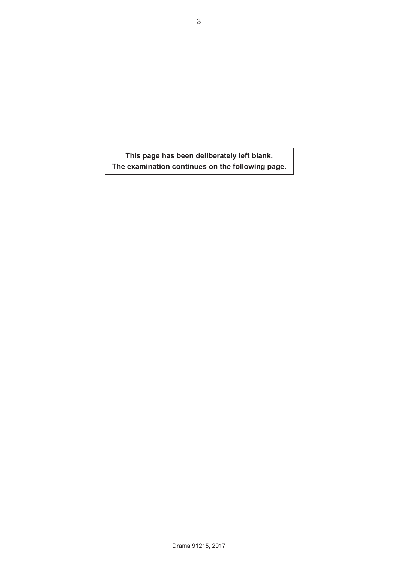**This page has been deliberately left blank. The examination continues on the following page.**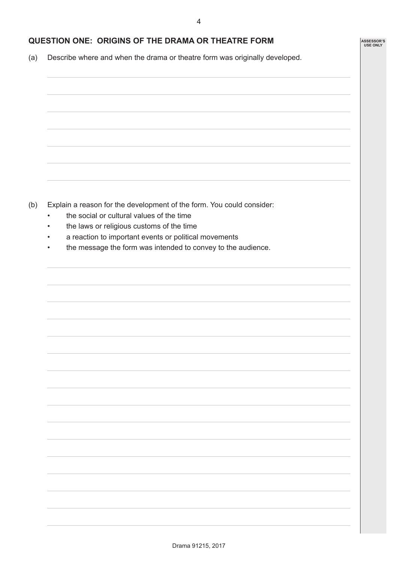**ASSESSOR'S USE ONLY**

## **QUESTION ONE: ORIGINS OF THE DRAMA OR THEATRE FORM**

(a) Describe where and when the drama or theatre form was originally developed.

(b) Explain a reason for the development of the form. You could consider:

- the social or cultural values of the time
- the laws or religious customs of the time
- a reaction to important events or political movements
- the message the form was intended to convey to the audience.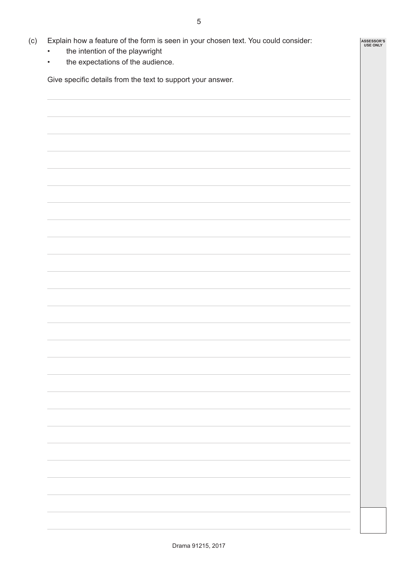**ASSESSOR'S USE ONLY**

- (c) Explain how a feature of the form is seen in your chosen text. You could consider:
	- the intention of the playwright
	- the expectations of the audience.

Give specific details from the text to support your answer.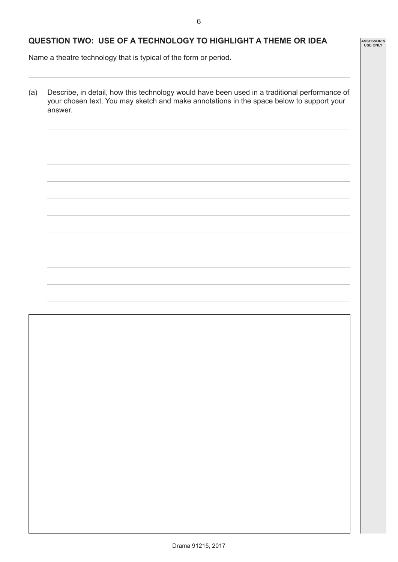**ASSESSOR'S USE ONLY**

# **QUESTION TWO: USE OF A TECHNOLOGY TO HIGHLIGHT A THEME OR IDEA**

Name a theatre technology that is typical of the form or period.

(a) Describe, in detail, how this technology would have been used in a traditional performance of your chosen text. You may sketch and make annotations in the space below to support your answer.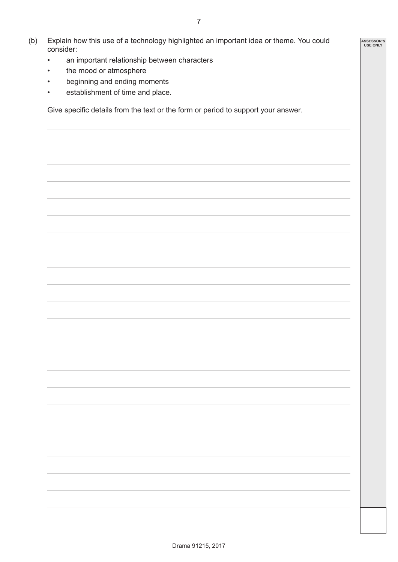- (b) Explain how this use of a technology highlighted an important idea or theme. You could consider:
	- an important relationship between characters
	- the mood or atmosphere
	- beginning and ending moments
	- establishment of time and place.

Give specific details from the text or the form or period to support your answer.

**ASSESSOR'S USE ONLY**

7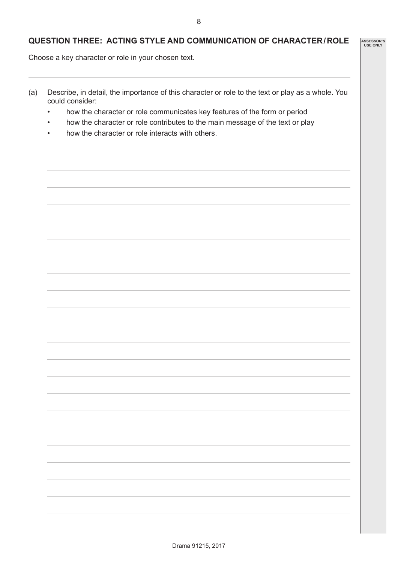#### **QUESTION THREE: ACTING STYLE AND COMMUNICATION OF CHARACTER/ROLE**

Choose a key character or role in your chosen text.

- (a) Describe, in detail, the importance of this character or role to the text or play as a whole. You could consider:
	- how the character or role communicates key features of the form or period
	- how the character or role contributes to the main message of the text or play
	- how the character or role interacts with others.

**ASSESSOR'S USE ONLY**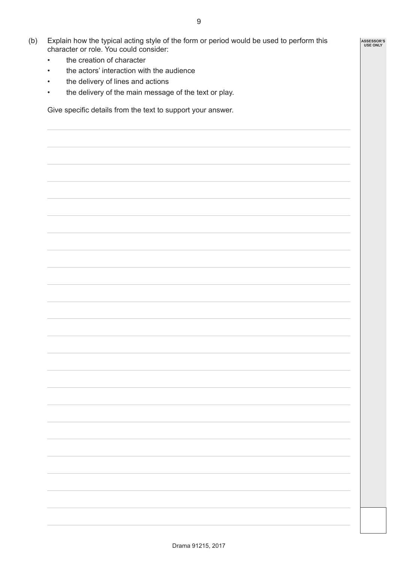- (b) Explain how the typical acting style of the form or period would be used to perform this character or role. You could consider:
	- the creation of character
	- the actors' interaction with the audience
	- the delivery of lines and actions
	- the delivery of the main message of the text or play.

Give specific details from the text to support your answer.

**ASSESSOR'S USE ONLY**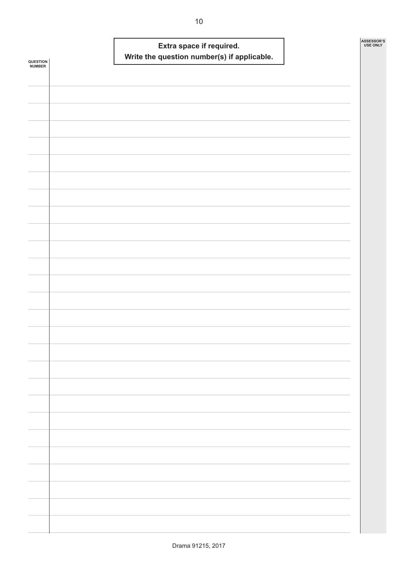| QUESTION<br><b>NUMBER</b> |  | Extra space if required. | Write the question number(s) if applicable. |  | ASSESSOR'S<br><b>USE ONLY</b> |
|---------------------------|--|--------------------------|---------------------------------------------|--|-------------------------------|
|                           |  |                          |                                             |  |                               |
|                           |  |                          |                                             |  |                               |
|                           |  |                          |                                             |  |                               |
|                           |  |                          |                                             |  |                               |
|                           |  |                          |                                             |  |                               |
|                           |  |                          |                                             |  |                               |
|                           |  |                          |                                             |  |                               |
|                           |  |                          |                                             |  |                               |
|                           |  |                          |                                             |  |                               |
|                           |  |                          |                                             |  |                               |
|                           |  |                          |                                             |  |                               |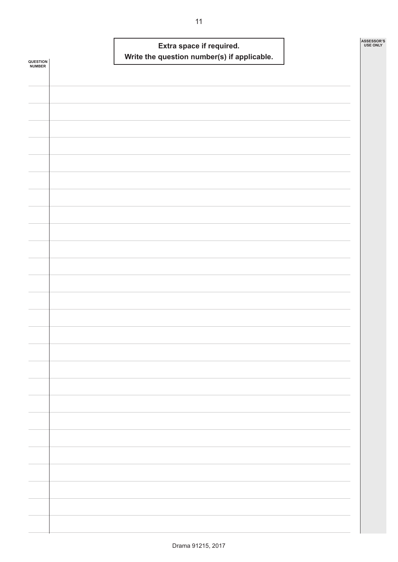| QUESTION<br>NUMBER |  | Extra space if required.<br>Write the question number(s) if applicable. |  | ASSESSOR'S<br><b>USE ONLY</b> |
|--------------------|--|-------------------------------------------------------------------------|--|-------------------------------|
|                    |  |                                                                         |  |                               |
|                    |  |                                                                         |  |                               |
|                    |  |                                                                         |  |                               |
|                    |  |                                                                         |  |                               |
|                    |  |                                                                         |  |                               |
|                    |  |                                                                         |  |                               |
|                    |  |                                                                         |  |                               |
|                    |  |                                                                         |  |                               |
|                    |  |                                                                         |  |                               |
|                    |  |                                                                         |  |                               |
|                    |  |                                                                         |  |                               |
|                    |  |                                                                         |  |                               |
|                    |  |                                                                         |  |                               |
|                    |  |                                                                         |  |                               |
|                    |  |                                                                         |  |                               |